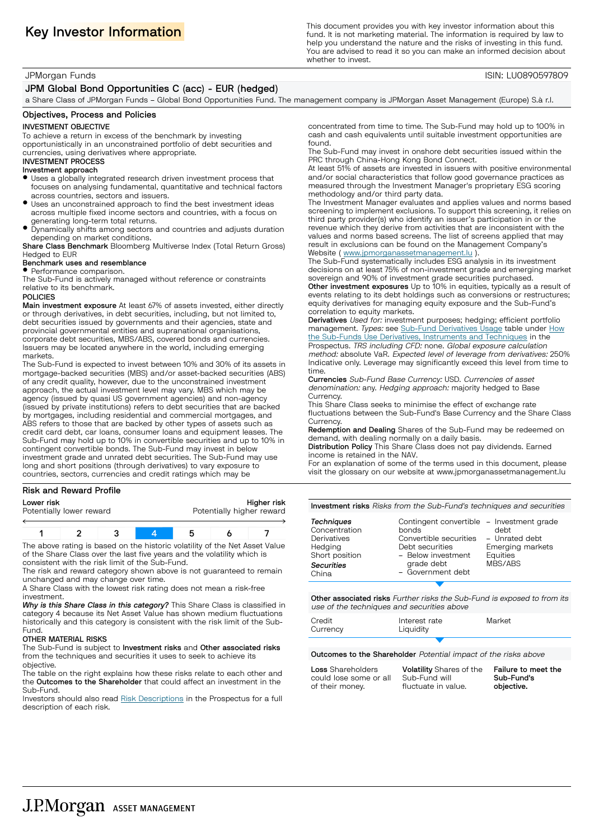Key Investor Information This document provides you with key investor information about this The information about this sequired by law fund. It is not marketing material. The information is required by law to help you understand the nature and the risks of investing in this fund. You are advised to read it so you can make an informed decision about whether to invest.

## JPMorgan Funds ISIN: LU0890597809

## JPM Global Bond Opportunities C (acc) - EUR (hedged)

a Share Class of JPMorgan Funds – Global Bond Opportunities Fund. The management company is JPMorgan Asset Management (Europe) S.à r.l.

### Objectives, Process and Policies

## INVESTMENT OBJECTIVE

To achieve a return in excess of the benchmark by investing opportunistically in an unconstrained portfolio of debt securities and currencies, using derivatives where appropriate.

#### INVESTMENT PROCESS Investment approach

- $\bullet$  Uses a globally integrated research driven investment process that focuses on analysing fundamental, quantitative and technical factors across countries, sectors and issuers.
- $\bullet$  Uses an unconstrained approach to find the best investment ideas across multiple fixed income sectors and countries, with a focus on generating long-term total returns.
- $\bullet$  Dynamically shifts among sectors and countries and adjusts duration depending on market conditions.

Share Class Benchmark Bloomberg Multiverse Index (Total Return Gross) Hedged to EUR

## Benchmark uses and resemblance

• Performance comparison. The Sub-Fund is actively managed without reference or constraints relative to its benchmark.

#### POLICIES

Main investment exposure At least 67% of assets invested, either directly or through derivatives, in debt securities, including, but not limited to, debt securities issued by governments and their agencies, state and provincial governmental entities and supranational organisations, corporate debt securities, MBS/ABS, covered bonds and currencies. Issuers may be located anywhere in the world, including emerging markets.

The Sub-Fund is expected to invest between 10% and 30% of its assets in mortgage-backed securities (MBS) and/or asset-backed securities (ABS) of any credit quality, however, due to the unconstrained investment approach, the actual investment level may vary. MBS which may be agency (issued by quasi US government agencies) and non-agency (issued by private institutions) refers to debt securities that are backed by mortgages, including residential and commercial mortgages, and ABS refers to those that are backed by other types of assets such as credit card debt, car loans, consumer loans and equipment leases. The Sub-Fund may hold up to 10% in convertible securities and up to 10% in contingent convertible bonds. The Sub-Fund may invest in below investment grade and unrated debt securities. The Sub-Fund may use long and short positions (through derivatives) to vary exposure to countries, sectors, currencies and credit ratings which may be

#### Risk and Reward Profile

| Lower risk<br>Potentially lower reward | Higher risk<br>Potentially higher reward |
|----------------------------------------|------------------------------------------|
|                                        |                                          |
|                                        |                                          |
|                                        |                                          |

| The above rating is based on the bistoric volatility of the Net Asset Valu |  |  |  |
|----------------------------------------------------------------------------|--|--|--|

The above rating is based on the historic volatility of the Net Asset Value of the Share Class over the last five years and the volatility which is consistent with the risk limit of the Sub-Fund.

The risk and reward category shown above is not guaranteed to remain unchanged and may change over time.

A Share Class with the lowest risk rating does not mean a risk-free investment.

*Why is this Share Class in this category?* This Share Class is classified in category 4 because its Net Asset Value has shown medium fluctuations historically and this category is consistent with the risk limit of the Sub-Fund.

### OTHER MATERIAL RISKS

The Sub-Fund is subject to Investment risks and Other associated risks from the techniques and securities it uses to seek to achieve its objective.

The table on the right explains how these risks relate to each other and the Outcomes to the Shareholder that could affect an investment in the Sub-Fund.

Investors should also read Risk [Descriptions](http://www.jpmorganassetmanagement.lu) in the Prospectus for a full description of each risk.

concentrated from time to time. The Sub-Fund may hold up to 100% in cash and cash equivalents until suitable investment opportunities are found.

The Sub-Fund may invest in onshore debt securities issued within the PRC through China-Hong Kong Bond Connect.

At least 51% of assets are invested in issuers with positive environmental and/or social characteristics that follow good governance practices as measured through the Investment Manager's proprietary ESG scoring methodology and/or third party data.

The Investment Manager evaluates and applies values and norms based screening to implement exclusions. To support this screening, it relies on third party provider(s) who identify an issuer's participation in or the revenue which they derive from activities that are inconsistent with the values and norms based screens. The list of screens applied that may result in exclusions can be found on the Management Company's Website ( [www.jpmorganassetmanagement.lu](http://www.jpmorganassetmanagement.lu) ).

The Sub-Fund systematically includes ESG analysis in its investment decisions on at least 75% of non-investment grade and emerging market sovereign and 90% of investment grade securities purchased. Other investment exposures Up to 10% in equities, typically as a result of events relating to its debt holdings such as conversions or restructures; equity derivatives for managing equity exposure and the Sub-Fund's

correlation to equity markets. Derivatives Used for: investment purposes; hedging; efficient portfolio management. Types: see Sub-Fund [Derivatives](http://www.jpmorganassetmanagement.lu) Usage table under [How](http://www.jpmorganassetmanagement.lu) the Sub-Funds Use Derivatives, [Instruments](http://www.jpmorganassetmanagement.lu) and Techniques in the Prospectus. TRS including CFD: none. Global exposure calculation method: absolute VaR. Expected level of leverage from derivatives: 250% Indicative only. Leverage may significantly exceed this level from time to

time. Currencies Sub-Fund Base Currency: USD. Currencies of asset denomination: any. Hedging approach: majority hedged to Base Currency.

This Share Class seeks to minimise the effect of exchange rate fluctuations between the Sub-Fund's Base Currency and the Share Class **Currency** 

Redemption and Dealing Shares of the Sub-Fund may be redeemed on demand, with dealing normally on a daily basis.

Distribution Policy This Share Class does not pay dividends. Earned income is retained in the NAV.

For an explanation of some of the terms used in this document, please visit the glossary on our website at <www.jpmorganassetmanagement.lu>

| Investment risks Risks from the Sub-Fund's techniques and securities |  |
|----------------------------------------------------------------------|--|
|                                                                      |  |

| Techniques<br>Concentration<br>Derivatives<br>Hedging<br>Short position<br><b>Securities</b><br>China | Contingent convertible - Investment grade<br>bonds<br>Convertible securities<br>Debt securities<br>- Below investment<br>grade debt<br>- Government debt | debt<br>- Unrated debt<br>Emerging markets<br>Equities<br>MBS/ABS |
|-------------------------------------------------------------------------------------------------------|----------------------------------------------------------------------------------------------------------------------------------------------------------|-------------------------------------------------------------------|
|                                                                                                       |                                                                                                                                                          |                                                                   |

Other associated risks Further risks the Sub-Fund is exposed to from its use of the techniques and securities above

| Credit<br>Currency | Interest rate<br>Liquidity | Market |
|--------------------|----------------------------|--------|
|                    |                            |        |

Outcomes to the Shareholder Potential impact of the risks above

Loss Shareholders could lose some or all of their money. Volatility Shares of the Sub-Fund will fluctuate in value. Failure to meet the Sub-Fund's objective.

**J.P.Morgan** ASSET MANAGEMENT